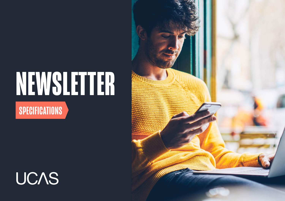# **NEWSLETTER SPECIFICATIONS**

# **UCAS**

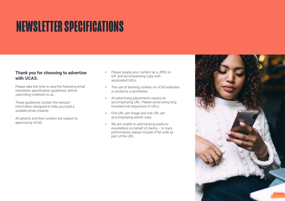### **NEWSLETTER SPECIFICATIONS**

#### **Thank you for choosing to advertise with UCAS.**

Please take the time to read the following email newsletter specification guidelines, before submitting creatives to us.

These guidelines contain the relevant information designed to help you build a suitable email creative.

All adverts and their content are subject to approval by UCAS.

- Please supply your content as a JPEG or GIF and accompanying copy with associated URLs.
- **‣** The use of tracking cookies on UCAS websites or products is prohibited.
- **‣** All advertising placements require an accompanying URL. Please avoid using long hexadecimal sequences in URLs.
- **‣** One URL per image and one URL per accompanying advert copy.
- **‣** We are unable to add tracking pixels to newsletters on behalf of clients – to track performance, please include UTM code as part of the URL.

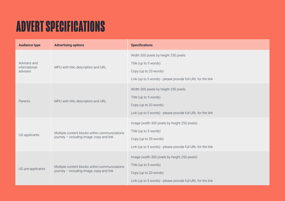### **ADVERT SPECIFICATIONS**

| <b>Audience type</b>                      | <b>Advertising options</b>                                                                | <b>Specifications</b>                                                                                                                                          |
|-------------------------------------------|-------------------------------------------------------------------------------------------|----------------------------------------------------------------------------------------------------------------------------------------------------------------|
| Advisers and<br>international<br>advisers | MPU with title, description and URL                                                       | Width 300 pixels by height 250 pixels<br>Title (up to 5 words)<br>Copy (up to 20 words)<br>Link (up to 5 words) - please provide full URL for the link         |
| Parents                                   | MPU with title, description and URL                                                       | Width 300 pixels by height 250 pixels<br>Title (up to 5 words)<br>Copy (up to 20 words)<br>Link (up to 5 words) - please provide full URL for the link         |
| UG applicants                             | Multiple content blocks within communications<br>journey - including image, copy and link | Image (width 300 pixels by height 250 pixels)<br>Title (up to 5 words)<br>Copy (up to 20 words)<br>Link (up to 5 words) - please provide full URL for the link |
| UG pre-applicants                         | Multiple content blocks within communications<br>journey - including image, copy and link | Image (width 300 pixels by height 250 pixels)<br>Title (up to 5 words)<br>Copy (up to 20 words)<br>Link (up to 5 words) - please provide full URL for the link |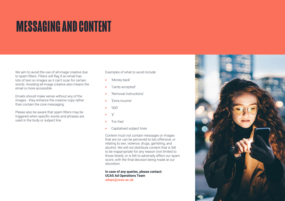### **MESSAGING AND CONTENT**

We aim to avoid the use of all-image creative due to spam filters. Filters will flag if an email has lots of text on images as it can't scan for certain words. Avoiding all-image creative also means the email is more accessible.

Emails should make sense without any of the images - they enhance the creative copy rather than contain the core messaging.

Please also be aware that spam filters may be triggered when specific words and phrases are used in the body or subject line.

Examples of what to avoid include:

- **‣** 'Money back'
- **‣** 'Cards accepted'
- **‣** 'Removal instructions'
- **‣** 'Extra income'
- **‣** '000'
- $\hat{P}$
- **‣** 'For free'
- **‣** Capitalised subject lines

Content must not contain messages or images that are (or can be perceived to be) offensive, or relating to sex, violence, drugs, gambling, and alcohol. We will not distribute content that is felt to be inappropriate for any reason (not limited to those listed), or is felt to adversely affect our spam score, with the final decision being made at our discretion.

**In case of any queries, please contact: UCAS Ad Operations Team [adops@ucas.ac.uk](mailto:adops%40ucas.ac.uk?subject=)**